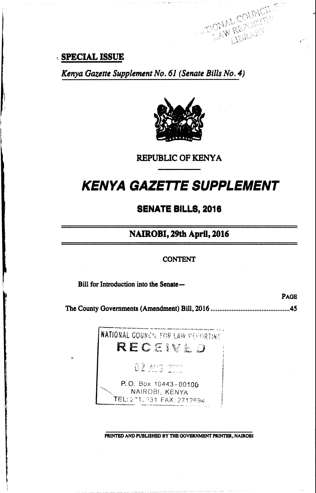## **SPECIAL ISSUE**

Kenya Gazette Supplement No. 61 (Senate Bills No. 4)



**COMAL COUNCIL** 

**REPUBLIC OF KENYA** 

# **KENYA GAZETTE SUPPLEMENT**

**SENATE BILLS, 2016** 

# NAIROBI, 29th April, 2016

#### **CONTENT**

Bill for Introduction into the Senate-

**PAGE** 

NATIONAL COUNCIL FOR LAW PEPORTING **RECEIVED** 02 AUS 2000 P.O. Box 10443-00100 NAIROBI, KENYA TEL: 271, 231 FAX: 2712694

PRINTED AND PUBLISHED BY THE GOVERNMENT PRINTER, NAIROBI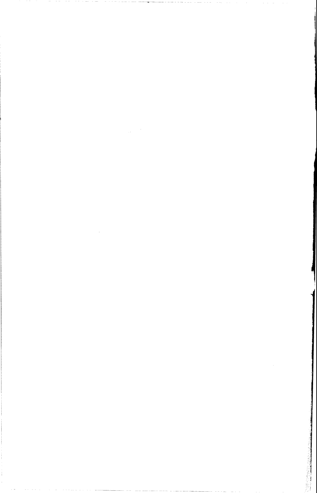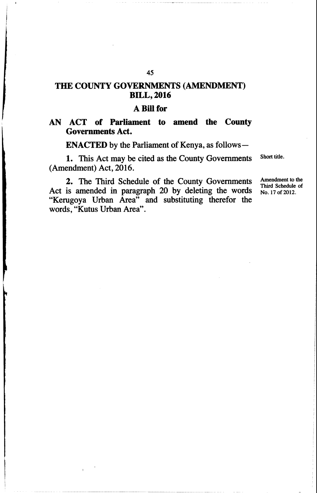## THE COUNTY GOVERNMENTS (AMENDMENT) **BILL, 2016**

#### A Bill for

# AN ACT of Parliament to amend the County Governments Act.

ENACTED by the Parliament of Kenya, as follows-

1. This Act may be cited as the County Governments Short title. (Amendment) Act,2016.

**2.** The Third Schedule of the County Governments  $\frac{\text{Amendment to the Third Schedule of the Courty of the Corollary and the Corollary of the Corollary.}$ "Kerugoya Urban Area" and substituting therefor the words, "Kutus Urban Area".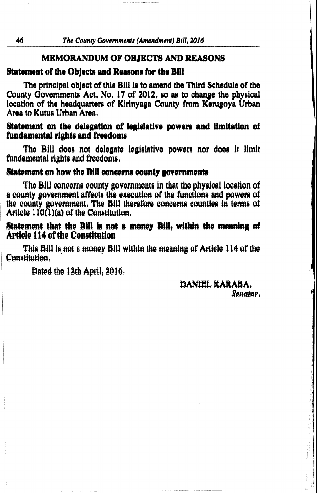# **MEMORANDUM OF OBJECTS AND REASONS**

#### **Statement of the Objects and Reasons for the Bill**

The principal object of this Bill is to amend the Third Schedule of the County Governments Act. No. 17 of 2012, so as to change the physical location of the headquarters of Kirinyaga County from Kerugova Urban Area to Kutus Urban Area.

## Statement on the delegation of legislative powers and limitation of fundamental rights and freedoms

The Bill does not delegate legislative powers nor does it limit fundamental rights and freedoms.

#### Statement on how the Bill concerns county governments

The Bill concerns county governments in that the physical location of a county government affects the execution of the functions and powers of the county government. The Bill therefore concerns counties in terms of Article  $110(1)(a)$  of the Constitution.

# Statement that the Bill is not a money Bill, within the meaning of **Article 114 of the Constitution**

This Bill is not a money Bill within the meaning of Article 114 of the Constitution.

Dated the 12th April, 2016.

DANIEL KARABA. Senatar.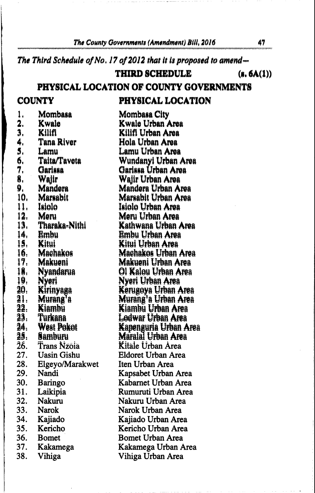The Third Schedule of No. 17 of 2012 that it is proposed to amend-

**THIRD SCHEDULE** 

PHYSICAL LOCATION

 $(s, 6A(1))$ 

## PHYSICAL LOCATION OF COUNTY GOVERNMENTS

## **COUNTY**

Mombasa 1.

 $2.$ **Kwale** 

- 3. Kilifl
- 4. **Tana River**
- 5. Lamu
- б. Taita/Taveta
- 7. Garissa
- Wajir 8.
- 9. Mandera
- 10. Marsabit
- 11. Isiolo

 $12.$ Meru

- 13. Tharaka-Nithi
- 14. Embu
- $15.$ Kitui
- 
- 16. Machakos
- $17.$ Makueni
- $18.$ **Nyandarua**
- Nyeri 19.
- $20.$ Kirinyaga
- Murang<sup>3</sup>a 21.
- $22.$ Kiambu
- $23.$ Turkana
- $24.$ West Pokot
- $25.$ **Samburu**
- $\hat{26}$ . **Trans Nzoia**
- 27. **Uasin Gishu**
- 
- 28. Elgeyo/Marakwet
- 29. Nandi
- 30. **Baringo**
- $31.$ Laikipia
- $32.$ **Nakuru**
- 33. **Narok**
- 34. Kajiado
- $35.$ Kericho
- $36.$ **Bomet**
- $37.$ Kakamega
- 38. Vihiga

**Mombasa City** Kwale Urban Area Kilifl Urban Area Hola Urban Area Lamu Urban Area Wundanvi Urban Area Gariasa Urban Area Waiir Urban Area Mandera Urban Area Marsabit Urban Area Isiolo Urban Area Meru Urban Area Kathwana Urban Area Embu Urban Area Kitui Urban Area Machakos Urban Area Makueni Urban Area Ol Kalou Urban Area Nyeri Urban Area Kerugoya Urban Area Murang'a Urban Area Kiambu Urban Area Lodwar Urban Area Kapenguria Urban Area Maralal Urban Area Kitale Urban Area **Eldoret Urban Area** Iten Urban Area Kapsabet Urban Area Kabarnet Urban Area Rumuruti Urban Area Nakuru Urban Area Narok Urban Area Kajiado Urban Area Kericho Urban Area **Bomet Urban Area** Kakamega Urban Area Vihiga Urban Area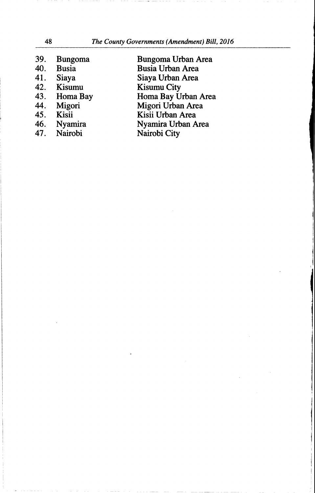| 39. | <b>Bungoma</b> | Bungoma Urban Area      |
|-----|----------------|-------------------------|
| 40. | <b>Busia</b>   | <b>Busia Urban Area</b> |
| 41. | Siaya          | Siaya Urban Area        |
| 42. | Kisumu         | <b>Kisumu City</b>      |
| 43. | Homa Bay       | Homa Bay Urban Area     |
| 44. | Migori         | Migori Urban Area       |
| 45. | Kisii          | Kisii Urban Area        |
| 46. | Nyamira        | Nyamira Urban Area      |
|     | 47. Nairobi    | Nairobi City            |
|     |                |                         |

48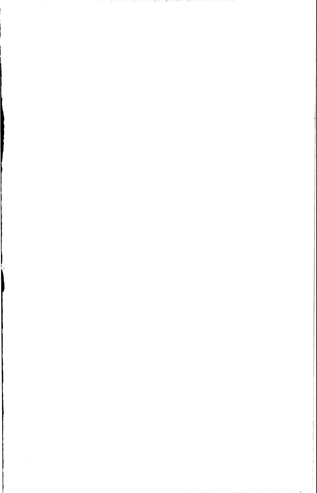